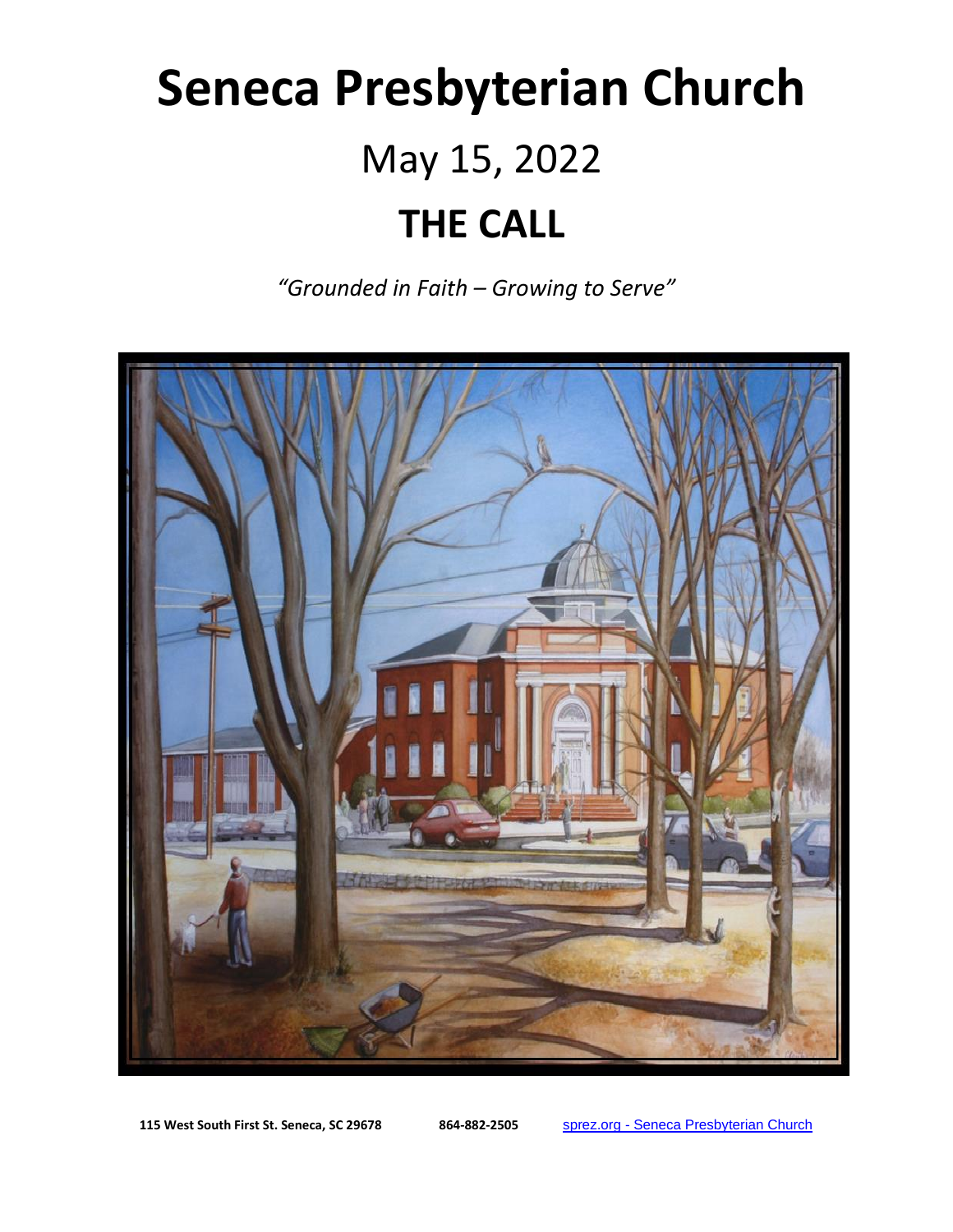# **Seneca Presbyterian Church** May 15, 2022 **THE CALL**

*"Grounded in Faith – Growing to Serve"*



**115 West South First St. Seneca, SC 29678 864-882-2505** sprez.org - [Seneca Presbyterian Church](https://sprez.org/)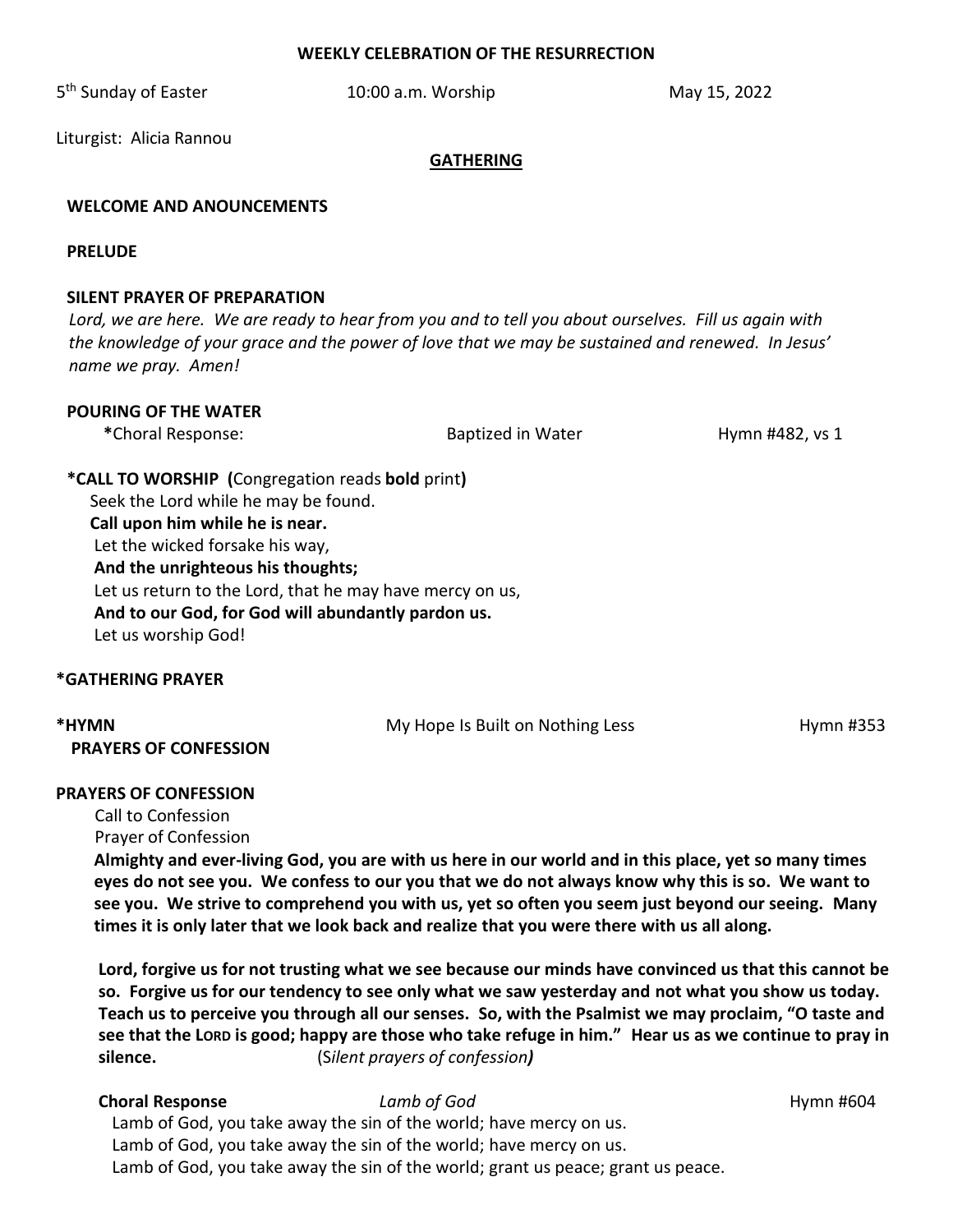#### **WEEKLY CELEBRATION OF THE RESURRECTION**

5<sup>th</sup> Sunday of Easter **10:00 a.m. Worship** May 15, 2022

Liturgist: Alicia Rannou

#### **GATHERING**

### **WELCOME AND ANOUNCEMENTS**

#### **PRELUDE**

#### **SILENT PRAYER OF PREPARATION**

 *Lord, we are here. We are ready to hear from you and to tell you about ourselves. Fill us again with the knowledge of your grace and the power of love that we may be sustained and renewed. In Jesus' name we pray. Amen!*

#### **POURING OF THE WATER**

\*Choral Response:  $\blacksquare$  Baptized in Water  $\blacksquare$  Hymn #482, vs 1

**\*CALL TO WORSHIP (**Congregation reads **bold** print**)**  Seek the Lord while he may be found.  **Call upon him while he is near.** Let the wicked forsake his way,  **And the unrighteous his thoughts;** Let us return to the Lord, that he may have mercy on us,  **And to our God, for God will abundantly pardon us.**  Let us worship God!

#### **\*GATHERING PRAYER**

| *HYMN                        | My Hope Is Built on Nothing Less | Hymn #353 |
|------------------------------|----------------------------------|-----------|
| <b>PRAYERS OF CONFESSION</b> |                                  |           |

#### **PRAYERS OF CONFESSION**

Call to Confession

Prayer of Confession

 **Almighty and ever-living God, you are with us here in our world and in this place, yet so many times eyes do not see you. We confess to our you that we do not always know why this is so. We want to see you. We strive to comprehend you with us, yet so often you seem just beyond our seeing. Many times it is only later that we look back and realize that you were there with us all along.** 

 **Lord, forgive us for not trusting what we see because our minds have convinced us that this cannot be so. Forgive us for our tendency to see only what we saw yesterday and not what you show us today. Teach us to perceive you through all our senses. So, with the Psalmist we may proclaim, "O taste and see that the LORD is good; happy are those who take refuge in him." Hear us as we continue to pray in silence.** (S*ilent prayers of confession)*

## **Choral Response** *Lamb of God Lamb of God Hymn #604*

Lamb of God, you take away the sin of the world; have mercy on us. Lamb of God, you take away the sin of the world; have mercy on us. Lamb of God, you take away the sin of the world; grant us peace; grant us peace.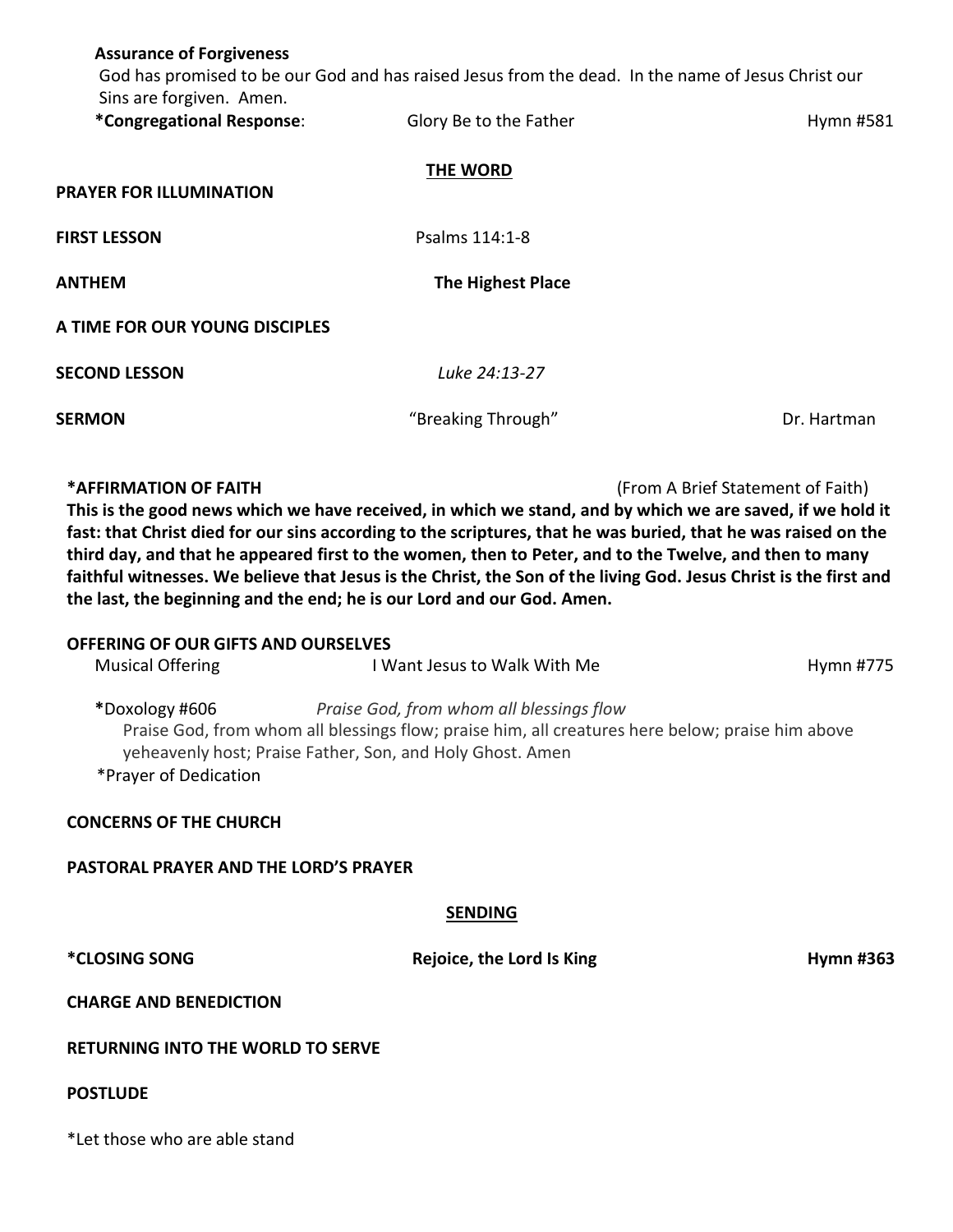| <b>Assurance of Forgiveness</b>                                                                                                                                                                                                                                                                                                                                                                                                                                                                                                                                                                                                                  | God has promised to be our God and has raised Jesus from the dead. In the name of Jesus Christ our |                  |  |  |
|--------------------------------------------------------------------------------------------------------------------------------------------------------------------------------------------------------------------------------------------------------------------------------------------------------------------------------------------------------------------------------------------------------------------------------------------------------------------------------------------------------------------------------------------------------------------------------------------------------------------------------------------------|----------------------------------------------------------------------------------------------------|------------------|--|--|
| Sins are forgiven. Amen.<br>*Congregational Response:                                                                                                                                                                                                                                                                                                                                                                                                                                                                                                                                                                                            | Glory Be to the Father                                                                             | Hymn #581        |  |  |
| THE WORD<br><b>PRAYER FOR ILLUMINATION</b>                                                                                                                                                                                                                                                                                                                                                                                                                                                                                                                                                                                                       |                                                                                                    |                  |  |  |
|                                                                                                                                                                                                                                                                                                                                                                                                                                                                                                                                                                                                                                                  |                                                                                                    |                  |  |  |
| <b>FIRST LESSON</b>                                                                                                                                                                                                                                                                                                                                                                                                                                                                                                                                                                                                                              | Psalms 114:1-8                                                                                     |                  |  |  |
| <b>ANTHEM</b>                                                                                                                                                                                                                                                                                                                                                                                                                                                                                                                                                                                                                                    | <b>The Highest Place</b>                                                                           |                  |  |  |
| A TIME FOR OUR YOUNG DISCIPLES                                                                                                                                                                                                                                                                                                                                                                                                                                                                                                                                                                                                                   |                                                                                                    |                  |  |  |
| <b>SECOND LESSON</b>                                                                                                                                                                                                                                                                                                                                                                                                                                                                                                                                                                                                                             | Luke 24:13-27                                                                                      |                  |  |  |
| <b>SERMON</b>                                                                                                                                                                                                                                                                                                                                                                                                                                                                                                                                                                                                                                    | "Breaking Through"                                                                                 | Dr. Hartman      |  |  |
| *AFFIRMATION OF FAITH<br>(From A Brief Statement of Faith)<br>This is the good news which we have received, in which we stand, and by which we are saved, if we hold it<br>fast: that Christ died for our sins according to the scriptures, that he was buried, that he was raised on the<br>third day, and that he appeared first to the women, then to Peter, and to the Twelve, and then to many<br>faithful witnesses. We believe that Jesus is the Christ, the Son of the living God. Jesus Christ is the first and<br>the last, the beginning and the end; he is our Lord and our God. Amen.<br><b>OFFERING OF OUR GIFTS AND OURSELVES</b> |                                                                                                    |                  |  |  |
| <b>Musical Offering</b>                                                                                                                                                                                                                                                                                                                                                                                                                                                                                                                                                                                                                          | I Want Jesus to Walk With Me                                                                       | Hymn #775        |  |  |
| *Doxology #606<br>Praise God, from whom all blessings flow<br>Praise God, from whom all blessings flow; praise him, all creatures here below; praise him above<br>yeheavenly host; Praise Father, Son, and Holy Ghost. Amen<br>*Prayer of Dedication                                                                                                                                                                                                                                                                                                                                                                                             |                                                                                                    |                  |  |  |
| <b>CONCERNS OF THE CHURCH</b>                                                                                                                                                                                                                                                                                                                                                                                                                                                                                                                                                                                                                    |                                                                                                    |                  |  |  |
| <b>PASTORAL PRAYER AND THE LORD'S PRAYER</b>                                                                                                                                                                                                                                                                                                                                                                                                                                                                                                                                                                                                     |                                                                                                    |                  |  |  |
| <b>SENDING</b>                                                                                                                                                                                                                                                                                                                                                                                                                                                                                                                                                                                                                                   |                                                                                                    |                  |  |  |
| <i><b>*CLOSING SONG</b></i>                                                                                                                                                                                                                                                                                                                                                                                                                                                                                                                                                                                                                      | Rejoice, the Lord Is King                                                                          | <b>Hymn #363</b> |  |  |
| <b>CHARGE AND BENEDICTION</b>                                                                                                                                                                                                                                                                                                                                                                                                                                                                                                                                                                                                                    |                                                                                                    |                  |  |  |
| <b>RETURNING INTO THE WORLD TO SERVE</b>                                                                                                                                                                                                                                                                                                                                                                                                                                                                                                                                                                                                         |                                                                                                    |                  |  |  |
| <b>POSTLUDE</b>                                                                                                                                                                                                                                                                                                                                                                                                                                                                                                                                                                                                                                  |                                                                                                    |                  |  |  |
| *Let those who are able stand                                                                                                                                                                                                                                                                                                                                                                                                                                                                                                                                                                                                                    |                                                                                                    |                  |  |  |
|                                                                                                                                                                                                                                                                                                                                                                                                                                                                                                                                                                                                                                                  |                                                                                                    |                  |  |  |